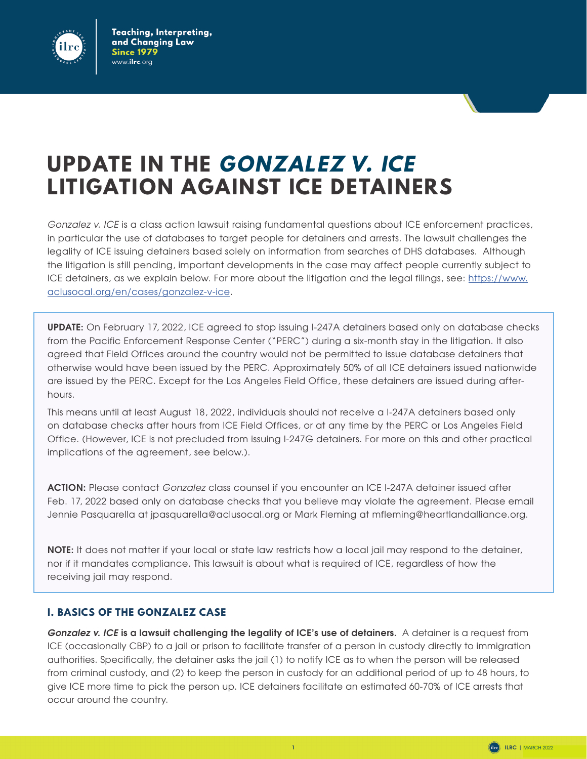

# **UPDATE IN THE GONZALEZ V. ICE LITIGATION AGAINST ICE DETAINERS**

*Gonzalez v. ICE* is a class action lawsuit raising fundamental questions about ICE enforcement practices, in particular the use of databases to target people for detainers and arrests. The lawsuit challenges the legality of ICE issuing detainers based solely on information from searches of DHS databases. Although the litigation is still pending, important developments in the case may affect people currently subject to ICE detainers, as we explain below. For more about the litigation and the legal filings, see: [https://www.](https://www.aclusocal.org/en/cases/gonzalez-v-ice) [aclusocal.org/en/cases/gonzalez-v-ice](https://www.aclusocal.org/en/cases/gonzalez-v-ice).

**UPDATE:** On February 17, 2022, ICE agreed to stop issuing I-247A detainers based only on database checks from the Pacific Enforcement Response Center ("PERC") during a six-month stay in the litigation. It also agreed that Field Offices around the country would not be permitted to issue database detainers that otherwise would have been issued by the PERC. Approximately 50% of all ICE detainers issued nationwide are issued by the PERC. Except for the Los Angeles Field Office, these detainers are issued during afterhours.

This means until at least August 18, 2022, individuals should not receive a I-247A detainers based only on database checks after hours from ICE Field Offices, or at any time by the PERC or Los Angeles Field Office. (However, ICE is not precluded from issuing I-247G detainers. For more on this and other practical implications of the agreement, see below.).

**ACTION:** Please contact *Gonzalez* class counsel if you encounter an ICE I-247A detainer issued after Feb. 17, 2022 based only on database checks that you believe may violate the agreement. Please email Jennie Pasquarella at jpasquarella@aclusocal.org or Mark Fleming at mfleming@heartlandalliance.org.

**NOTE:** It does not matter if your local or state law restricts how a local jail may respond to the detainer, nor if it mandates compliance. This lawsuit is about what is required of ICE, regardless of how the receiving jail may respond.

# **I. BASICS OF THE GONZALEZ CASE**

*Gonzalez v. ICE* **is a lawsuit challenging the legality of ICE's use of detainers.** A detainer is a request from ICE (occasionally CBP) to a jail or prison to facilitate transfer of a person in custody directly to immigration authorities. Specifically, the detainer asks the jail (1) to notify ICE as to when the person will be released from criminal custody, and (2) to keep the person in custody for an additional period of up to 48 hours, to give ICE more time to pick the person up. ICE detainers facilitate an estimated 60-70% of ICE arrests that occur around the country.

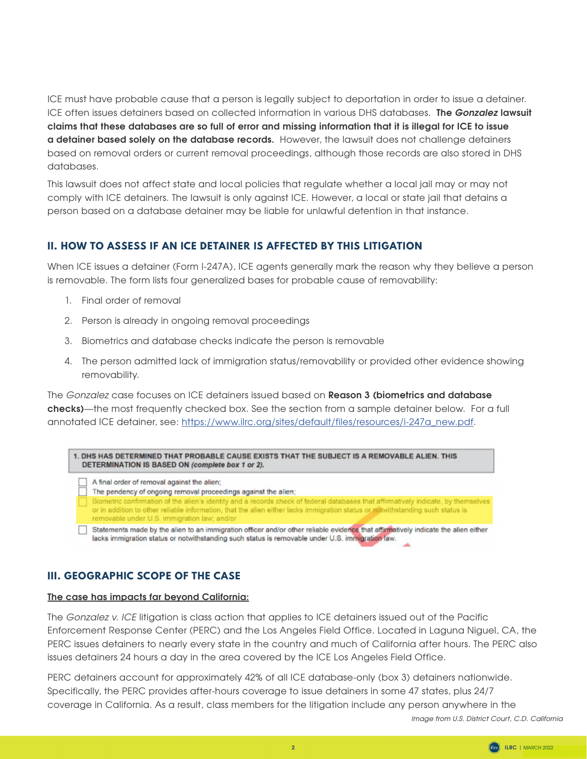ICE must have probable cause that a person is legally subject to deportation in order to issue a detainer. ICE often issues detainers based on collected information in various DHS databases. **The** *Gonzalez* **lawsuit claims that these databases are so full of error and missing information that it is illegal for ICE to issue a detainer based solely on the database records.** However, the lawsuit does not challenge detainers based on removal orders or current removal proceedings, although those records are also stored in DHS databases.

This lawsuit does not affect state and local policies that regulate whether a local jail may or may not comply with ICE detainers. The lawsuit is only against ICE. However, a local or state jail that detains a person based on a database detainer may be liable for unlawful detention in that instance.

## **II. HOW TO ASSESS IF AN ICE DETAINER IS AFFECTED BY THIS LITIGATION**

When ICE issues a detainer (Form I-247A), ICE agents generally mark the reason why they believe a person is removable. The form lists four generalized bases for probable cause of removability:

- 1. Final order of removal
- 2. Person is already in ongoing removal proceedings
- 3. Biometrics and database checks indicate the person is removable
- 4. The person admitted lack of immigration status/removability or provided other evidence showing removability.

The *Gonzalez* case focuses on ICE detainers issued based on **Reason 3 (biometrics and database checks)**—the most frequently checked box. See the section from a sample detainer below. For a full annotated ICE detainer, see: [https://www.ilrc.org/sites/default/files/resources/i-247a\\_new.pdf](https://www.ilrc.org/sites/default/files/resources/i-247a_new.pdf).

| 1. DHS HAS DETERMINED THAT PROBABLE CAUSE EXISTS THAT THE SUBJECT IS A REMOVABLE ALIEN. THIS |  |
|----------------------------------------------------------------------------------------------|--|
| DETERMINATION IS BASED ON (complete box 1 or 2).                                             |  |

- $\Box$  A final order of removal against the alien; The pendency of ongoing removal proceedings against the alien; Biometric confirmation of the alien's identity and a records check of federal databases that affirmatively indicate, by themselves or in addition to other reliable information, that the alien either lacks immigration status or notwithstanding such status is removable under U.S. immigration law; and/or Statements made by the alien to an immigration officer and/or other reliable evidence that affirmatively indicate the alien either
	- lacks immigration status or notwithstanding such status is removable under U.S. immigration law.

# **III. GEOGRAPHIC SCOPE OF THE CASE**

### **The case has impacts far beyond California:**

The *Gonzalez v. ICE* litigation is class action that applies to ICE detainers issued out of the Pacific Enforcement Response Center (PERC) and the Los Angeles Field Office. Located in Laguna Niguel, CA, the PERC issues detainers to nearly every state in the country and much of California after hours. The PERC also issues detainers 24 hours a day in the area covered by the ICE Los Angeles Field Office.

PERC detainers account for approximately 42% of all ICE database-only (box 3) detainers nationwide. Specifically, the PERC provides after-hours coverage to issue detainers in some 47 states, plus 24/7 coverage in California. As a result, class members for the litigation include any person anywhere in the

*Image from U.S. District Court, C.D. California*

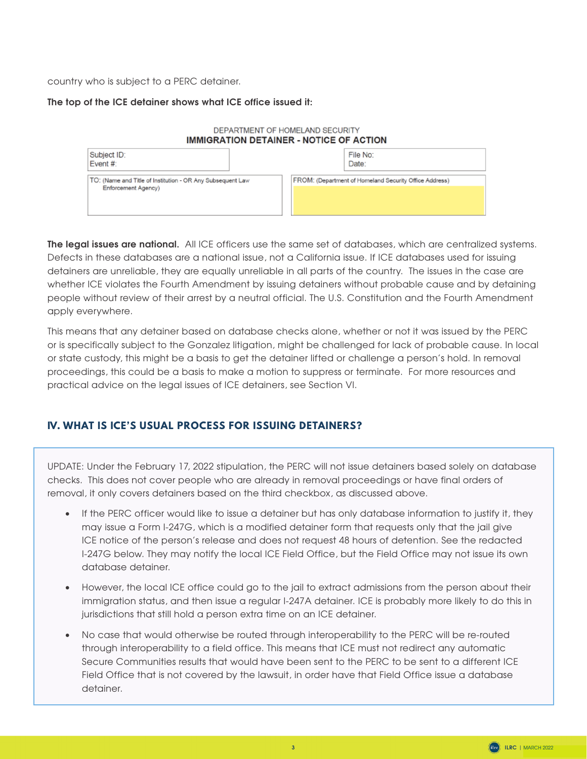country who is subject to a PERC detainer.

#### **The top of the ICE detainer shows what ICE office issued it:**



**The legal issues are national.** All ICE officers use the same set of databases, which are centralized systems. Defects in these databases are a national issue, not a California issue. If ICE databases used for issuing detainers are unreliable, they are equally unreliable in all parts of the country. The issues in the case are whether ICE violates the Fourth Amendment by issuing detainers without probable cause and by detaining people without review of their arrest by a neutral official. The U.S. Constitution and the Fourth Amendment apply everywhere.

This means that any detainer based on database checks alone, whether or not it was issued by the PERC or is specifically subject to the Gonzalez litigation, might be challenged for lack of probable cause. In local or state custody, this might be a basis to get the detainer lifted or challenge a person's hold. In removal proceedings, this could be a basis to make a motion to suppress or terminate. For more resources and practical advice on the legal issues of ICE detainers, see Section VI.

# **IV. WHAT IS ICE'S USUAL PROCESS FOR ISSUING DETAINERS?**

UPDATE: Under the February 17, 2022 stipulation, the PERC will not issue detainers based solely on database checks. This does not cover people who are already in removal proceedings or have final orders of removal, it only covers detainers based on the third checkbox, as discussed above.

- If the PERC officer would like to issue a detainer but has only database information to justify it, they may issue a Form I-247G, which is a modified detainer form that requests only that the jail give ICE notice of the person's release and does not request 48 hours of detention. See the redacted I-247G below. They may notify the local ICE Field Office, but the Field Office may not issue its own database detainer.
- However, the local ICE office could go to the jail to extract admissions from the person about their immigration status, and then issue a regular I-247A detainer. ICE is probably more likely to do this in jurisdictions that still hold a person extra time on an ICE detainer.
- No case that would otherwise be routed through interoperability to the PERC will be re-routed through interoperability to a field office. This means that ICE must not redirect any automatic Secure Communities results that would have been sent to the PERC to be sent to a different ICE Field Office that is not covered by the lawsuit, in order have that Field Office issue a database detainer.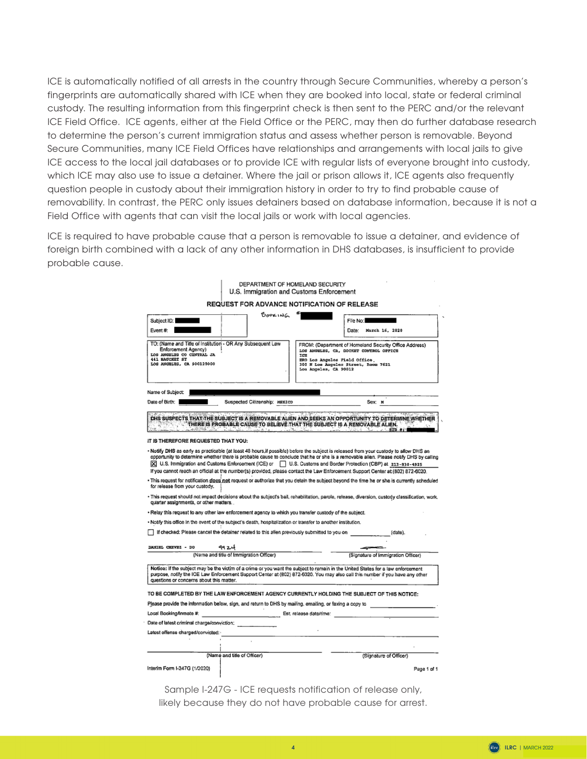ICE is automatically notified of all arrests in the country through Secure Communities, whereby a person's fingerprints are automatically shared with ICE when they are booked into local, state or federal criminal custody. The resulting information from this fingerprint check is then sent to the PERC and/or the relevant ICE Field Office. ICE agents, either at the Field Office or the PERC, may then do further database research to determine the person's current immigration status and assess whether person is removable. Beyond Secure Communities, many ICE Field Offices have relationships and arrangements with local jails to give ICE access to the local jail databases or to provide ICE with regular lists of everyone brought into custody, which ICE may also use to issue a detainer. Where the jail or prison allows it, ICE agents also frequently question people in custody about their immigration history in order to try to find probable cause of removability. In contrast, the PERC only issues detainers based on database information, because it is not a Field Office with agents that can visit the local jails or work with local agencies.

ICE is required to have probable cause that a person is removable to issue a detainer, and evidence of foreign birth combined with a lack of any other information in DHS databases, is insufficient to provide probable cause.

|                                                                                                                                                                      | DEPARTMENT OF HOMELAND SECURITY<br>U.S. Immigration and Customs Enforcement                                   |                                                               |                                                                                                                                                                                                                                                                                                                                                                                                                                                                                                                                                                                                                                                                                     |
|----------------------------------------------------------------------------------------------------------------------------------------------------------------------|---------------------------------------------------------------------------------------------------------------|---------------------------------------------------------------|-------------------------------------------------------------------------------------------------------------------------------------------------------------------------------------------------------------------------------------------------------------------------------------------------------------------------------------------------------------------------------------------------------------------------------------------------------------------------------------------------------------------------------------------------------------------------------------------------------------------------------------------------------------------------------------|
|                                                                                                                                                                      | REQUEST FOR ADVANCE NOTIFICATION OF RELEASE                                                                   |                                                               |                                                                                                                                                                                                                                                                                                                                                                                                                                                                                                                                                                                                                                                                                     |
| Subject ID:<br>Event $#$ :                                                                                                                                           | BOOKING                                                                                                       |                                                               | File No:<br>March 16, 2020<br>Date:                                                                                                                                                                                                                                                                                                                                                                                                                                                                                                                                                                                                                                                 |
| TO: (Name and Title of Institution - OR Any Subsequent Law<br>Enforcement Agency)<br>LOS ANGELES CO CENTRAL JA<br><b>441 BAUCHET ST</b><br>LOS ANGELES, CA 900120000 |                                                                                                               | ICE<br>ERO Los Angeles Field Office.<br>Los Angeles, CA 90012 | FROM: (Department of Homeland Security Office Address)<br>LOS ANGELES, CA, DOCKET CONTROL OFFICE<br>300 N Los Angeles Street, Room 7621                                                                                                                                                                                                                                                                                                                                                                                                                                                                                                                                             |
| Name of Subject:                                                                                                                                                     |                                                                                                               |                                                               |                                                                                                                                                                                                                                                                                                                                                                                                                                                                                                                                                                                                                                                                                     |
| Date of Birth:                                                                                                                                                       | Suspected Citizenship: HBXICO                                                                                 |                                                               | Sex: M                                                                                                                                                                                                                                                                                                                                                                                                                                                                                                                                                                                                                                                                              |
| IT IS THEREFORE REQUESTED THAT YOU:<br>for release from your custody.                                                                                                |                                                                                                               |                                                               | . Notify DHS as early as practicable (at least 48 hours, if possible) before the subject is released from your custody to allow DHS an<br>opportunity to determine whether there is probable cause to conclude that he or she is a removable alien. Please notify DHS by calling<br>[X] U.S. Immigration and Customs Enforcement (ICE) or   U.S. Customs and Border Protection (CBP) at 213-830-4925<br>If you cannot reach an official at the number(s) provided, please contact the Law Enforcement Support Center at (802) 872-6020.<br>This request for notification does not request or authorize that you detain the subject beyond the time he or she is currently scheduled |
| quarter assignments, or other matters.                                                                                                                               |                                                                                                               |                                                               | - This request should not impact decisions about the subject's bail, rehabilitation, parole, release, diversion, custody classification, work,                                                                                                                                                                                                                                                                                                                                                                                                                                                                                                                                      |
|                                                                                                                                                                      | - Relay this request to any other law enforcement agency to which you transfer custody of the subject.        |                                                               |                                                                                                                                                                                                                                                                                                                                                                                                                                                                                                                                                                                                                                                                                     |
|                                                                                                                                                                      | . Notify this office in the event of the subject's death, hospitalization or transfer to another institution. |                                                               |                                                                                                                                                                                                                                                                                                                                                                                                                                                                                                                                                                                                                                                                                     |
|                                                                                                                                                                      | If checked: Please cancel the detainer related to this alien previously submitted to you on                   |                                                               | (date).                                                                                                                                                                                                                                                                                                                                                                                                                                                                                                                                                                                                                                                                             |
| DANTRL CHRVRZ - DO                                                                                                                                                   | 9924                                                                                                          |                                                               |                                                                                                                                                                                                                                                                                                                                                                                                                                                                                                                                                                                                                                                                                     |
|                                                                                                                                                                      | (Name and title of Immigration Officer)                                                                       |                                                               | (Signature of Immigration Officer)                                                                                                                                                                                                                                                                                                                                                                                                                                                                                                                                                                                                                                                  |
| questions or concerns about this matter.                                                                                                                             |                                                                                                               |                                                               | Notice: If the subject may be the victim of a crime or you want the subject to remain in the United States for a law enforcement<br>purpose, notify the ICE Law Enforcement Support Center at (802) 872-6020. You may also call this number if you have any other                                                                                                                                                                                                                                                                                                                                                                                                                   |
|                                                                                                                                                                      | TO BE COMPLETED BY THE LAW ENFORCEMENT AGENCY CURRENTLY HOLDING THE SUBJECT OF THIS NOTICE:                   |                                                               | Please provide the information below, sign, and return to DHS by mailing, emailing, or faxing a copy to                                                                                                                                                                                                                                                                                                                                                                                                                                                                                                                                                                             |
| Local Booking/Inmate #:                                                                                                                                              | Est, release date/time:                                                                                       |                                                               |                                                                                                                                                                                                                                                                                                                                                                                                                                                                                                                                                                                                                                                                                     |
| Date of latest criminal charge/conviction:                                                                                                                           |                                                                                                               |                                                               |                                                                                                                                                                                                                                                                                                                                                                                                                                                                                                                                                                                                                                                                                     |
| Latest offense charged/convicted:                                                                                                                                    |                                                                                                               | ×.                                                            |                                                                                                                                                                                                                                                                                                                                                                                                                                                                                                                                                                                                                                                                                     |
|                                                                                                                                                                      |                                                                                                               |                                                               |                                                                                                                                                                                                                                                                                                                                                                                                                                                                                                                                                                                                                                                                                     |
|                                                                                                                                                                      | (Name and title of Officer)                                                                                   |                                                               | (Signature of Officer)                                                                                                                                                                                                                                                                                                                                                                                                                                                                                                                                                                                                                                                              |
| Interim Form I-247G (1/2020)                                                                                                                                         |                                                                                                               |                                                               | Page 1 of 1                                                                                                                                                                                                                                                                                                                                                                                                                                                                                                                                                                                                                                                                         |
|                                                                                                                                                                      | $1 - 1$                                                                                                       |                                                               |                                                                                                                                                                                                                                                                                                                                                                                                                                                                                                                                                                                                                                                                                     |

Sample I-247G - ICE requests notification of release only, likely because they do not have probable cause for arrest.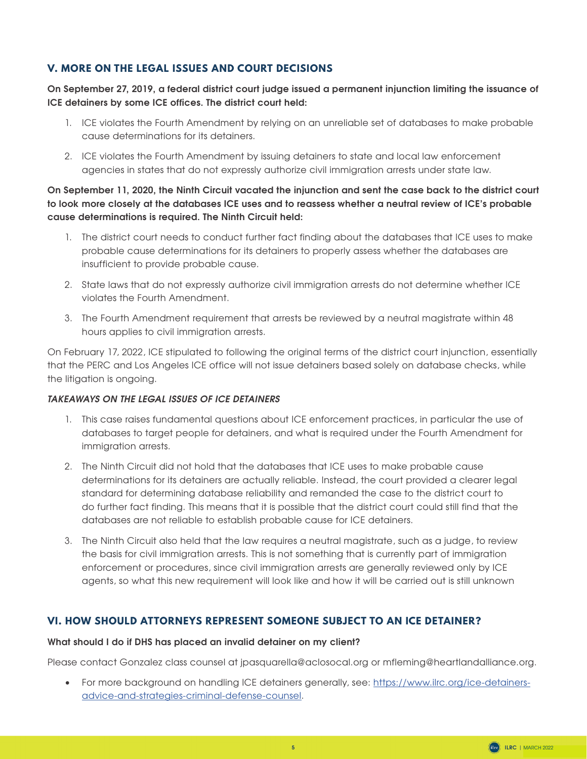# **V. MORE ON THE LEGAL ISSUES AND COURT DECISIONS**

#### **On September 27, 2019, a federal district court judge issued a permanent injunction limiting the issuance of ICE detainers by some ICE offices. The district court held:**

- 1. ICE violates the Fourth Amendment by relying on an unreliable set of databases to make probable cause determinations for its detainers.
- 2. ICE violates the Fourth Amendment by issuing detainers to state and local law enforcement agencies in states that do not expressly authorize civil immigration arrests under state law.

**On September 11, 2020, the Ninth Circuit vacated the injunction and sent the case back to the district court to look more closely at the databases ICE uses and to reassess whether a neutral review of ICE's probable cause determinations is required. The Ninth Circuit held:** 

- 1. The district court needs to conduct further fact finding about the databases that ICE uses to make probable cause determinations for its detainers to properly assess whether the databases are insufficient to provide probable cause.
- 2. State laws that do not expressly authorize civil immigration arrests do not determine whether ICE violates the Fourth Amendment.
- 3. The Fourth Amendment requirement that arrests be reviewed by a neutral magistrate within 48 hours applies to civil immigration arrests.

On February 17, 2022, ICE stipulated to following the original terms of the district court injunction, essentially that the PERC and Los Angeles ICE office will not issue detainers based solely on database checks, while the litigation is ongoing.

#### *TAKEAWAYS ON THE LEGAL ISSUES OF ICE DETAINERS*

- 1. This case raises fundamental questions about ICE enforcement practices, in particular the use of databases to target people for detainers, and what is required under the Fourth Amendment for immigration arrests.
- 2. The Ninth Circuit did not hold that the databases that ICE uses to make probable cause determinations for its detainers are actually reliable. Instead, the court provided a clearer legal standard for determining database reliability and remanded the case to the district court to do further fact finding. This means that it is possible that the district court could still find that the databases are not reliable to establish probable cause for ICE detainers.
- 3. The Ninth Circuit also held that the law requires a neutral magistrate, such as a judge, to review the basis for civil immigration arrests. This is not something that is currently part of immigration enforcement or procedures, since civil immigration arrests are generally reviewed only by ICE agents, so what this new requirement will look like and how it will be carried out is still unknown

# **VI. HOW SHOULD ATTORNEYS REPRESENT SOMEONE SUBJECT TO AN ICE DETAINER?**

#### **What should I do if DHS has placed an invalid detainer on my client?**

Please contact Gonzalez class counsel at jpasquarella@aclosocal.org or mfleming@heartlandalliance.org.

• For more background on handling ICE detainers generally, see: [https://www.ilrc.org/ice-detainers](https://www.ilrc.org/ice-detainers-advice-and-strategies-criminal-defense-counsel)[advice-and-strategies-criminal-defense-counsel](https://www.ilrc.org/ice-detainers-advice-and-strategies-criminal-defense-counsel).